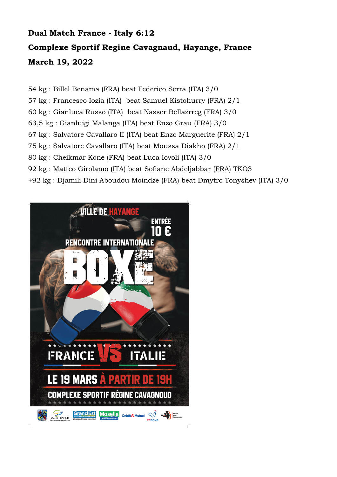## **Dual Match France - Italy 6:12 Complexe Sportif Regine Cavagnaud, Hayange, France March 19, 2022**

54 kg : Billel Benama (FRA) beat Federico Serra (ITA) 3/0

57 kg : Francesco Iozia (ITA) beat Samuel Kistohurry (FRA) 2/1

60 kg : Gianluca Russo (ITA) beat Nasser Bellazrreg (FRA) 3/0

63,5 kg : Gianluigi Malanga (ITA) beat Enzo Grau (FRA) 3/0

67 kg : Salvatore Cavallaro II (ITA) beat Enzo Marguerite (FRA) 2/1

75 kg : Salvatore Cavallaro (ITA) beat Moussa Diakho (FRA) 2/1

80 kg : Cheikmar Kone (FRA) beat Luca Iovoli (ITA) 3/0

92 kg : Matteo Girolamo (ITA) beat Sofiane Abdeljabbar (FRA) TKO3

+92 kg : Djamili Dini Aboudou Moindze (FRA) beat Dmytro Tonyshev (ITA) 3/0